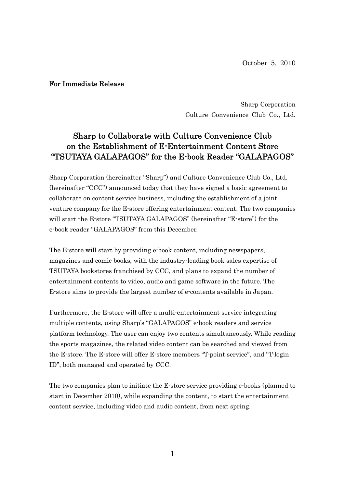October 5, 2010

## For Immediate Release

Sharp Corporation Culture Convenience Club Co., Ltd.

## Sharp to Collaborate with Culture Convenience Club on the Establishment of E-Entertainment Content Store "TSUTAYA GALAPAGOS" for the E-book Reader "GALAPAGOS"

Sharp Corporation (hereinafter "Sharp") and Culture Convenience Club Co., Ltd. (hereinafter "CCC") announced today that they have signed a basic agreement to collaborate on content service business, including the establishment of a joint venture company for the E-store offering entertainment content. The two companies will start the E-store "TSUTAYA GALAPAGOS" (hereinafter "E-store") for the e-book reader "GALAPAGOS" from this December.

The E-store will start by providing e-book content, including newspapers, magazines and comic books, with the industry-leading book sales expertise of TSUTAYA bookstores franchised by CCC, and plans to expand the number of entertainment contents to video, audio and game software in the future. The E-store aims to provide the largest number of e-contents available in Japan.

Furthermore, the E-store will offer a multi-entertainment service integrating multiple contents, using Sharp's "GALAPAGOS" e-book readers and service platform technology. The user can enjoy two contents simultaneously. While reading the sports magazines, the related video content can be searched and viewed from the E-store. The E-store will offer E-store members "T-point service", and "T-login ID", both managed and operated by CCC.

The two companies plan to initiate the E-store service providing e-books (planned to start in December 2010), while expanding the content, to start the entertainment content service, including video and audio content, from next spring.